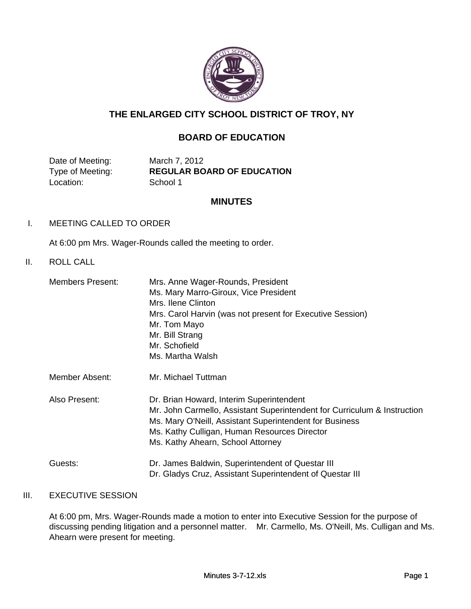

# **THE ENLARGED CITY SCHOOL DISTRICT OF TROY, NY**

## **BOARD OF EDUCATION**

Date of Meeting: March 7, 2012 Location: School 1

Type of Meeting: **REGULAR BOARD OF EDUCATION**

#### **MINUTES**

#### I. MEETING CALLED TO ORDER

At 6:00 pm Mrs. Wager-Rounds called the meeting to order.

#### II. ROLL CALL

| Members Present: | Mrs. Anne Wager-Rounds, President<br>Ms. Mary Marro-Giroux, Vice President<br>Mrs. Ilene Clinton<br>Mrs. Carol Harvin (was not present for Executive Session)<br>Mr. Tom Mayo<br>Mr. Bill Strang<br>Mr. Schofield<br>Ms. Martha Walsh                                |
|------------------|----------------------------------------------------------------------------------------------------------------------------------------------------------------------------------------------------------------------------------------------------------------------|
| Member Absent:   | Mr. Michael Tuttman                                                                                                                                                                                                                                                  |
| Also Present:    | Dr. Brian Howard, Interim Superintendent<br>Mr. John Carmello, Assistant Superintendent for Curriculum & Instruction<br>Ms. Mary O'Neill, Assistant Superintendent for Business<br>Ms. Kathy Culligan, Human Resources Director<br>Ms. Kathy Ahearn, School Attorney |
| Guests:          | Dr. James Baldwin, Superintendent of Questar III<br>Dr. Gladys Cruz, Assistant Superintendent of Questar III                                                                                                                                                         |

## III. EXECUTIVE SESSION

At 6:00 pm, Mrs. Wager-Rounds made a motion to enter into Executive Session for the purpose of discussing pending litigation and a personnel matter. Mr. Carmello, Ms. O'Neill, Ms. Culligan and Ms. Ahearn were present for meeting.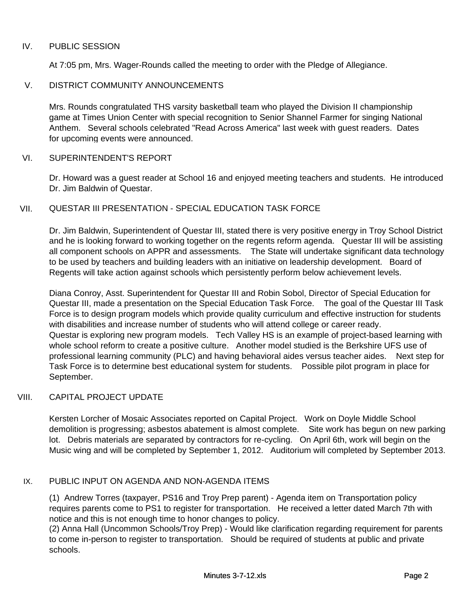#### IV. PUBLIC SESSION

At 7:05 pm, Mrs. Wager-Rounds called the meeting to order with the Pledge of Allegiance.

#### V. DISTRICT COMMUNITY ANNOUNCEMENTS

Mrs. Rounds congratulated THS varsity basketball team who played the Division II championship game at Times Union Center with special recognition to Senior Shannel Farmer for singing National Anthem. Several schools celebrated "Read Across America" last week with guest readers. Dates for upcoming events were announced.

#### VI. SUPERINTENDENT'S REPORT

Dr. Howard was a guest reader at School 16 and enjoyed meeting teachers and students. He introduced Dr. Jim Baldwin of Questar.

#### VII. QUESTAR III PRESENTATION - SPECIAL EDUCATION TASK FORCE

Dr. Jim Baldwin, Superintendent of Questar III, stated there is very positive energy in Troy School District and he is looking forward to working together on the regents reform agenda. Questar III will be assisting all component schools on APPR and assessments. The State will undertake significant data technology to be used by teachers and building leaders with an initiative on leadership development. Board of Regents will take action against schools which persistently perform below achievement levels.

Diana Conroy, Asst. Superintendent for Questar III and Robin Sobol, Director of Special Education for Questar III, made a presentation on the Special Education Task Force. The goal of the Questar III Task Force is to design program models which provide quality curriculum and effective instruction for students with disabilities and increase number of students who will attend college or career ready. Questar is exploring new program models. Tech Valley HS is an example of project-based learning with whole school reform to create a positive culture. Another model studied is the Berkshire UFS use of professional learning community (PLC) and having behavioral aides versus teacher aides. Next step for Task Force is to determine best educational system for students. Possible pilot program in place for September.

#### VIII. CAPITAL PROJECT UPDATE

Kersten Lorcher of Mosaic Associates reported on Capital Project. Work on Doyle Middle School demolition is progressing; asbestos abatement is almost complete. Site work has begun on new parking lot. Debris materials are separated by contractors for re-cycling. On April 6th, work will begin on the Music wing and will be completed by September 1, 2012. Auditorium will completed by September 2013.

#### IX. PUBLIC INPUT ON AGENDA AND NON-AGENDA ITEMS

(1) Andrew Torres (taxpayer, PS16 and Troy Prep parent) - Agenda item on Transportation policy requires parents come to PS1 to register for transportation. He received a letter dated March 7th with notice and this is not enough time to honor changes to policy.

(2) Anna Hall (Uncommon Schools/Troy Prep) - Would like clarification regarding requirement for parents to come in-person to register to transportation. Should be required of students at public and private schools.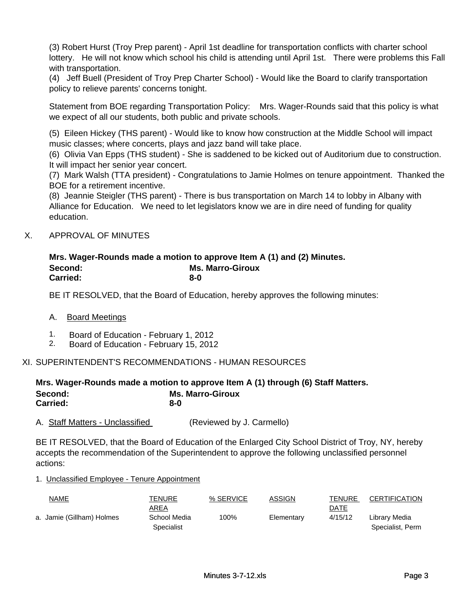(3) Robert Hurst (Troy Prep parent) - April 1st deadline for transportation conflicts with charter school lottery. He will not know which school his child is attending until April 1st. There were problems this Fall with transportation.

(4) Jeff Buell (President of Troy Prep Charter School) - Would like the Board to clarify transportation policy to relieve parents' concerns tonight.

Statement from BOE regarding Transportation Policy: Mrs. Wager-Rounds said that this policy is what we expect of all our students, both public and private schools.

(5) Eileen Hickey (THS parent) - Would like to know how construction at the Middle School will impact music classes; where concerts, plays and jazz band will take place.

(6) Olivia Van Epps (THS student) - She is saddened to be kicked out of Auditorium due to construction. It will impact her senior year concert.

(7) Mark Walsh (TTA president) - Congratulations to Jamie Holmes on tenure appointment. Thanked the BOE for a retirement incentive.

(8) Jeannie Steigler (THS parent) - There is bus transportation on March 14 to lobby in Albany with Alliance for Education. We need to let legislators know we are in dire need of funding for quality education.

#### X. APPROVAL OF MINUTES

#### **8-0 Mrs. Wager-Rounds made a motion to approve Item A (1) and (2) Minutes. Second: Ms. Marro-Giroux Carried:**

BE IT RESOLVED, that the Board of Education, hereby approves the following minutes:

#### A. Board Meetings

- 1. Board of Education February 1, 2012
- 2. Board of Education February 15, 2012

#### XI. SUPERINTENDENT'S RECOMMENDATIONS - HUMAN RESOURCES

#### **8-0 Mrs. Wager-Rounds made a motion to approve Item A (1) through (6) Staff Matters.**  Second: **Ms. Marro-Giroux Carried:**

A. Staff Matters - Unclassified (Reviewed by J. Carmello)

BE IT RESOLVED, that the Board of Education of the Enlarged City School District of Troy, NY, hereby accepts the recommendation of the Superintendent to approve the following unclassified personnel actions:

#### 1. Unclassified Employee - Tenure Appointment

| <u>NAME</u>               | TENURE       | % SERVICE | ASSIGN     | <b>TENURE</b> | CERTIFICATION    |
|---------------------------|--------------|-----------|------------|---------------|------------------|
|                           | AREA         |           |            | DATE          |                  |
| a. Jamie (Gillham) Holmes | School Media | 100%      | Elementary | 4/15/12       | Librarv Media    |
|                           | Specialist   |           |            |               | Specialist, Perm |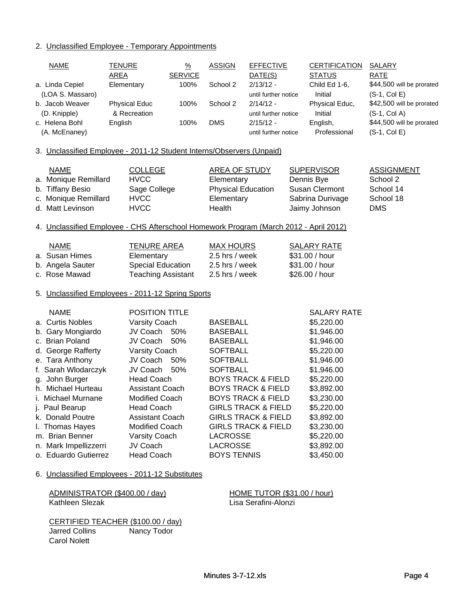## 2. Unclassified Employee - Temporary Appointments

| <u>NAME</u>                                                                           | <b>TENURE</b><br><b>AREA</b> | $\frac{9}{6}$<br><b>SERVICE</b> | <b>ASSIGN</b>             | <b>EFFECTIVE</b><br>DATE(S)    | <b>CERTIFICATION</b><br><b>STATUS</b> | <b>SALARY</b><br><b>RATE</b> |
|---------------------------------------------------------------------------------------|------------------------------|---------------------------------|---------------------------|--------------------------------|---------------------------------------|------------------------------|
| a. Linda Cepiel                                                                       | Elementary                   | 100%                            | School 2                  | $2/13/12 -$                    | Child Ed 1-6,                         | \$44,500 will be prorated    |
| (LOA S. Massaro)                                                                      |                              |                                 |                           | until further notice           | Initial                               | $(S-1, Col E)$               |
| b. Jacob Weaver                                                                       | <b>Physical Educ</b>         | 100%                            | School 2                  | $2/14/12 -$                    | Physical Educ,                        | \$42,500 will be prorated    |
| (D. Knipple)                                                                          | & Recreation                 |                                 |                           | until further notice           | Initial                               | $(S-1, Col A)$               |
| c. Helena Bohl                                                                        | English                      | 100%                            | <b>DMS</b>                | $2/15/12 -$                    | English,                              | \$44,500 will be prorated    |
| (A. McEnaney)                                                                         |                              |                                 |                           | until further notice           | Professional                          | $(S-1, Col E)$               |
| 3. Unclassified Employee - 2011-12 Student Interns/Observers (Unpaid)                 |                              |                                 |                           |                                |                                       |                              |
| <b>NAME</b>                                                                           | <b>COLLEGE</b>               |                                 | <b>AREA OF STUDY</b>      |                                | <b>SUPERVISOR</b>                     | <b>ASSIGNMENT</b>            |
| a. Monique Remillard                                                                  | <b>HVCC</b>                  |                                 | Elementary                |                                | Dennis Bye                            | School 2                     |
| b. Tiffany Besio                                                                      | Sage College                 |                                 | <b>Physical Education</b> |                                | <b>Susan Clermont</b>                 | School 14                    |
| c. Monique Remillard                                                                  | <b>HVCC</b>                  |                                 | Elementary                |                                | Sabrina Durivage                      | School 18                    |
| d. Matt Levinson                                                                      | <b>HVCC</b>                  |                                 | Health                    |                                | Jaimy Johnson                         | <b>DMS</b>                   |
| 4. Unclassified Employee - CHS Afterschool Homework Program (March 2012 - April 2012) |                              |                                 |                           |                                |                                       |                              |
| <b>NAME</b>                                                                           | <b>TENURE AREA</b>           |                                 | <b>MAX HOURS</b>          |                                | <b>SALARY RATE</b>                    |                              |
| a. Susan Himes                                                                        | Elementary                   |                                 | 2.5 hrs / week            |                                | \$31.00 / hour                        |                              |
| b. Angela Sauter                                                                      | Special Education            |                                 | 2.5 hrs / week            |                                | \$31.00 / hour                        |                              |
| c. Rose Mawad                                                                         | <b>Teaching Assistant</b>    |                                 | 2.5 hrs / week            |                                | \$26.00 / hour                        |                              |
| 5. Unclassified Employees - 2011-12 Spring Sports                                     |                              |                                 |                           |                                |                                       |                              |
| <b>NAME</b>                                                                           | POSITION TITLE               |                                 |                           |                                | <b>SALARY RATE</b>                    |                              |
| a. Curtis Nobles                                                                      | Varsity Coach                |                                 | <b>BASEBALL</b>           |                                | \$5,220.00                            |                              |
| b. Gary Mongiardo                                                                     | JV Coach                     | 50%                             | <b>BASEBALL</b>           |                                | \$1,946.00                            |                              |
| c. Brian Poland                                                                       | JV Coach                     | 50%                             | <b>BASEBALL</b>           |                                | \$1,946.00                            |                              |
| d. George Rafferty                                                                    | Varsity Coach                |                                 | <b>SOFTBALL</b>           |                                | \$5,220.00                            |                              |
| e. Tara Anthony                                                                       | JV Coach                     | 50%                             | <b>SOFTBALL</b>           |                                | \$1,946.00                            |                              |
| f. Sarah Wlodarczyk                                                                   | JV Coach                     | 50%                             | <b>SOFTBALL</b>           |                                | \$1,946.00                            |                              |
| g. John Burger                                                                        | <b>Head Coach</b>            |                                 |                           | <b>BOYS TRACK &amp; FIELD</b>  | \$5,220.00                            |                              |
| h. Michael Hurteau                                                                    | <b>Assistant Coach</b>       |                                 |                           | <b>BOYS TRACK &amp; FIELD</b>  | \$3,892.00                            |                              |
| i. Michael Murnane                                                                    | <b>Modified Coach</b>        |                                 |                           | <b>BOYS TRACK &amp; FIELD</b>  | \$3,230.00                            |                              |
| j. Paul Bearup                                                                        | <b>Head Coach</b>            |                                 |                           | <b>GIRLS TRACK &amp; FIELD</b> | \$5,220.00                            |                              |
| k. Donald Poutre                                                                      | <b>Assistant Coach</b>       |                                 |                           | <b>GIRLS TRACK &amp; FIELD</b> | \$3,892.00                            |                              |
| I. Thomas Hayes                                                                       | <b>Modified Coach</b>        |                                 |                           | <b>GIRLS TRACK &amp; FIELD</b> | \$3,230.00                            |                              |
| m. Brian Benner                                                                       | Varsity Coach                |                                 | <b>LACROSSE</b>           |                                | \$5,220.00                            |                              |
| n. Mark Impellizzerri                                                                 | JV Coach                     |                                 | <b>LACROSSE</b>           |                                | \$3,892.00                            |                              |
| o. Eduardo Gutierrez                                                                  | <b>Head Coach</b>            |                                 | <b>BOYS TENNIS</b>        |                                | \$3,450.00                            |                              |
| 6. Unclassified Employees - 2011-12 Substitutes                                       |                              |                                 |                           |                                |                                       |                              |

| ADMINISTRATOR (\$400.00 / day) |  |
|--------------------------------|--|
| Kathleen Slezak                |  |

HOME TUTOR (\$31.00 / hour) Lisa Serafini-Alonzi

CERTIFIED TEACHER (\$100.00 / day) Jarred Collins Nancy Todor Carol Nolett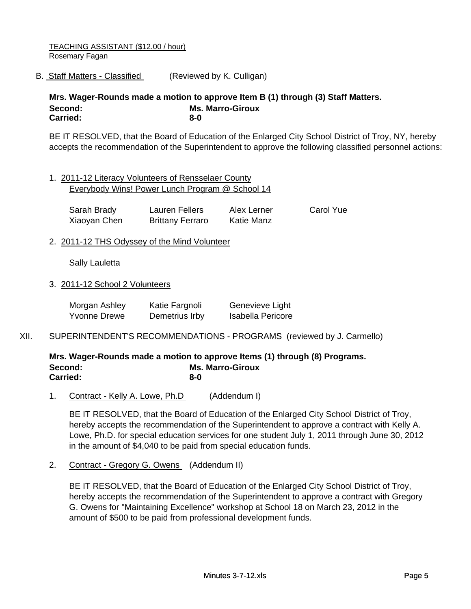TEACHING ASSISTANT (\$12.00 / hour) Rosemary Fagan

B. Staff Matters - Classified (Reviewed by K. Culligan)

**8-0 Ms. Marro-Giroux Carried: Mrs. Wager-Rounds made a motion to approve Item B (1) through (3) Staff Matters. Second:**

BE IT RESOLVED, that the Board of Education of the Enlarged City School District of Troy, NY, hereby accepts the recommendation of the Superintendent to approve the following classified personnel actions:

1. 2011-12 Literacy Volunteers of Rensselaer County Everybody Wins! Power Lunch Program @ School 14

| Sarah Brady  | Lauren Fellers          | Alex Lerner       | <b>Carol Yue</b> |
|--------------|-------------------------|-------------------|------------------|
| Xiaoyan Chen | <b>Brittany Ferraro</b> | <b>Katie Manz</b> |                  |

2. 2011-12 THS Odyssey of the Mind Volunteer

Sally Lauletta

3. 2011-12 School 2 Volunteers

| Morgan Ashley       | Katie Fargnoli | Genevieve Light          |
|---------------------|----------------|--------------------------|
| <b>Yvonne Drewe</b> | Demetrius Irby | <b>Isabella Pericore</b> |

XII. SUPERINTENDENT'S RECOMMENDATIONS - PROGRAMS (reviewed by J. Carmello)

**8-0 Mrs. Wager-Rounds made a motion to approve Items (1) through (8) Programs. Second: Ms. Marro-Giroux Carried:**

1. Contract - Kelly A. Lowe, Ph.D (Addendum I)

BE IT RESOLVED, that the Board of Education of the Enlarged City School District of Troy, hereby accepts the recommendation of the Superintendent to approve a contract with Kelly A. Lowe, Ph.D. for special education services for one student July 1, 2011 through June 30, 2012 in the amount of \$4,040 to be paid from special education funds.

2. Contract - Gregory G. Owens (Addendum II)

BE IT RESOLVED, that the Board of Education of the Enlarged City School District of Troy, hereby accepts the recommendation of the Superintendent to approve a contract with Gregory G. Owens for "Maintaining Excellence" workshop at School 18 on March 23, 2012 in the amount of \$500 to be paid from professional development funds.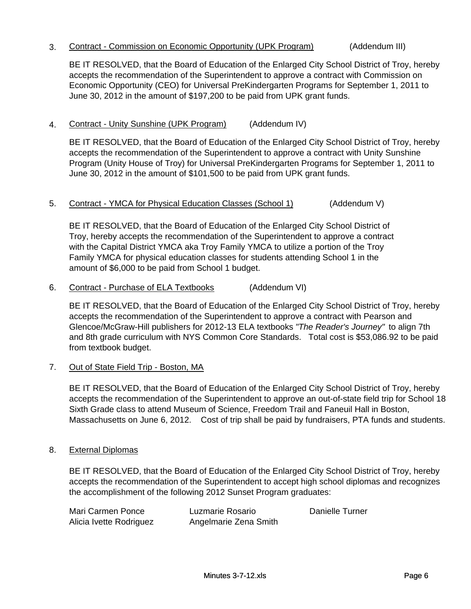#### 3. Contract - Commission on Economic Opportunity (UPK Program) (Addendum III)

BE IT RESOLVED, that the Board of Education of the Enlarged City School District of Troy, hereby accepts the recommendation of the Superintendent to approve a contract with Commission on Economic Opportunity (CEO) for Universal PreKindergarten Programs for September 1, 2011 to June 30, 2012 in the amount of \$197,200 to be paid from UPK grant funds.

### 4. Contract - Unity Sunshine (UPK Program) (Addendum IV)

BE IT RESOLVED, that the Board of Education of the Enlarged City School District of Troy, hereby accepts the recommendation of the Superintendent to approve a contract with Unity Sunshine Program (Unity House of Troy) for Universal PreKindergarten Programs for September 1, 2011 to June 30, 2012 in the amount of \$101,500 to be paid from UPK grant funds.

#### 5. Contract - YMCA for Physical Education Classes (School 1) (Addendum V)

BE IT RESOLVED, that the Board of Education of the Enlarged City School District of Troy, hereby accepts the recommendation of the Superintendent to approve a contract with the Capital District YMCA aka Troy Family YMCA to utilize a portion of the Troy Family YMCA for physical education classes for students attending School 1 in the amount of \$6,000 to be paid from School 1 budget.

6. Contract - Purchase of ELA Textbooks (Addendum VI)

6. Contract - Purchase of ELA Textbooks (Addendum<br>
BE IT RESOLVED, that the Board of Education of the Enlarg<br>
accepts the recommendation of the Superintendent to appro<br>
Glencoe/McGraw-Hill publishers for 2012-13 ELA textbo BE IT RESOLVED, that the Board of Education of the Enlarged City School District of Troy, hereby accepts the recommendation of the Superintendent to approve a contract with Pearson and Glencoe/McGraw-Hill publishers for 2012-13 ELA textbooks *"The Reader's Journey"* to align 7th and 8th grade curriculum with NYS Common Core Standards. Total cost is \$53,086.92 to be paid from textbook budget.

BE IT RESOLVED, that the Board of Education of the Enlarged City School District of Troy, hereby accepts the recommendation of the Superintendent to approve an out-of-state field trip for School 18 Sixth Grade class to attend Museum of Science, Freedom Trail and Faneuil Hall in Boston, Massachusetts on June 6, 2012. Cost of trip shall be paid by fundraisers, PTA funds and students.

#### 8. External Diplomas

BE IT RESOLVED, that the Board of Education of the Enlarged City School District of Troy, hereby accepts the recommendation of the Superintendent to accept high school diplomas and recognizes the accomplishment of the following 2012 Sunset Program graduates:

| Mari Carmen Ponce       | Luzmarie Rosario      | Danielle Turner |
|-------------------------|-----------------------|-----------------|
| Alicia Ivette Rodriguez | Angelmarie Zena Smith |                 |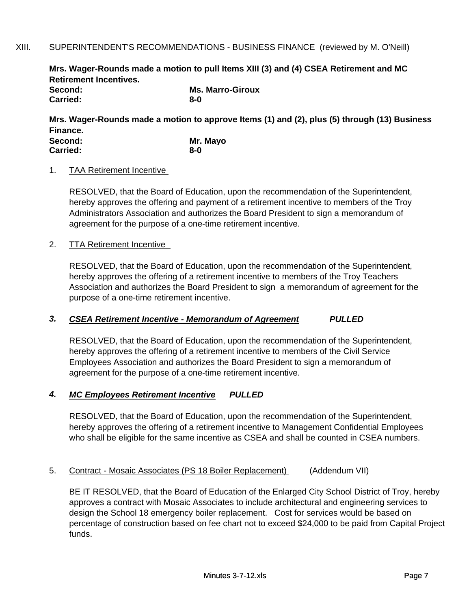#### XIII. SUPERINTENDENT'S RECOMMENDATIONS - BUSINESS FINANCE (reviewed by M. O'Neill)

**Mrs. Wager-Rounds made a motion to pull Items XIII (3) and (4) CSEA Retirement and MC Retirement Incentives.** 

| Second:  | <b>Ms. Marro-Giroux</b> |
|----------|-------------------------|
| Carried: | 8-0                     |

**Mrs. Wager-Rounds made a motion to approve Items (1) and (2), plus (5) through (13) Business Finance. Mr. Mayo Second:**

| <b>secona:</b>  | ivir. Mav |
|-----------------|-----------|
| <b>Carried:</b> | $8 - 0$   |

#### 1. TAA Retirement Incentive

RESOLVED, that the Board of Education, upon the recommendation of the Superintendent, hereby approves the offering and payment of a retirement incentive to members of the Troy Administrators Association and authorizes the Board President to sign a memorandum of agreement for the purpose of a one-time retirement incentive.

#### 2. TTA Retirement Incentive

RESOLVED, that the Board of Education, upon the recommendation of the Superintendent, hereby approves the offering of a retirement incentive to members of the Troy Teachers Association and authorizes the Board President to sign a memorandum of agreement for the purpose of a one-time retirement incentive.

#### *3. CSEA Retirement Incentive - Memorandum of Agreement PULLED*

RESOLVED, that the Board of Education, upon the recommendation of the Superintendent, hereby approves the offering of a retirement incentive to members of the Civil Service Employees Association and authorizes the Board President to sign a memorandum of agreement for the purpose of a one-time retirement incentive.

### *4. MC Employees Retirement Incentive PULLED*

RESOLVED, that the Board of Education, upon the recommendation of the Superintendent, hereby approves the offering of a retirement incentive to Management Confidential Employees who shall be eligible for the same incentive as CSEA and shall be counted in CSEA numbers.

#### 5. Contract - Mosaic Associates (PS 18 Boiler Replacement) (Addendum VII)

BE IT RESOLVED, that the Board of Education of the Enlarged City School District of Troy, hereby approves a contract with Mosaic Associates to include architectural and engineering services to design the School 18 emergency boiler replacement. Cost for services would be based on percentage of construction based on fee chart not to exceed \$24,000 to be paid from Capital Project funds.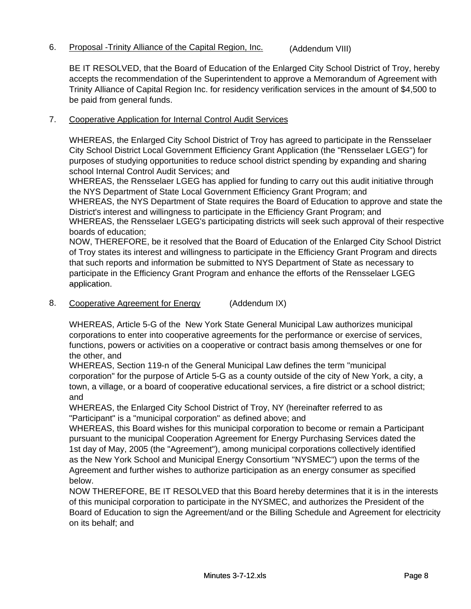# 6. Proposal -Trinity Alliance of the Capital Region, Inc. (Addendum VIII)

BE IT RESOLVED, that the Board of Education of the Enlarged City School District of Troy, hereby accepts the recommendation of the Superintendent to approve a Memorandum of Agreement with Trinity Alliance of Capital Region Inc. for residency verification services in the amount of \$4,500 to be paid from general funds.

#### 7. Cooperative Application for Internal Control Audit Services

WHEREAS, the Enlarged City School District of Troy has agreed to participate in the Rensselaer City School District Local Government Efficiency Grant Application (the "Rensselaer LGEG") for purposes of studying opportunities to reduce school district spending by expanding and sharing school Internal Control Audit Services; and

WHEREAS, the Rensselaer LGEG has applied for funding to carry out this audit initiative through the NYS Department of State Local Government Efficiency Grant Program; and

WHEREAS, the NYS Department of State requires the Board of Education to approve and state the District's interest and willingness to participate in the Efficiency Grant Program; and

WHEREAS, the Rensselaer LGEG's participating districts will seek such approval of their respective boards of education;

NOW, THEREFORE, be it resolved that the Board of Education of the Enlarged City School District of Troy states its interest and willingness to participate in the Efficiency Grant Program and directs that such reports and information be submitted to NYS Department of State as necessary to participate in the Efficiency Grant Program and enhance the efforts of the Rensselaer LGEG application application.

8. Cooperative Agreement for Energy (Addendum IX)

WHEREAS, Article 5-G of the New York State General Municipal Law authorizes municipal corporations to enter into cooperative agreements for the performance or exercise of services, functions, powers or activities on a cooperative or contract basis among themselves or one for the other, and

WHEREAS, Section 119-n of the General Municipal Law defines the term "municipal corporation" for the purpose of Article 5-G as a county outside of the city of New York, a city, a town, a village, or a board of cooperative educational services, a fire district or a school district; and

WHEREAS, the Enlarged City School District of Troy, NY (hereinafter referred to as "Participant" is a "municipal corporation" as defined above; and

WHEREAS, this Board wishes for this municipal corporation to become or remain a Participant pursuant to the municipal Cooperation Agreement for Energy Purchasing Services dated the 1st day of May, 2005 (the "Agreement"), among municipal corporations collectively identified as the New York School and Municipal Energy Consortium "NYSMEC") upon the terms of the Agreement and further wishes to authorize participation as an energy consumer as specified below.

NOW THEREFORE, BE IT RESOLVED that this Board hereby determines that it is in the interests of this municipal corporation to participate in the NYSMEC, and authorizes the President of the Board of Education to sign the Agreement/and or the Billing Schedule and Agreement for electricity on its behalf; and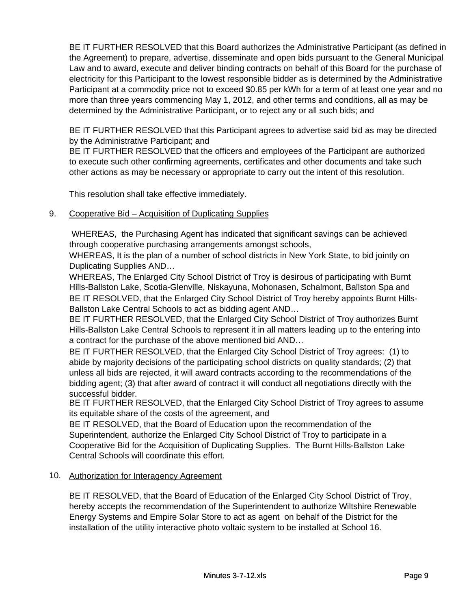BE IT FURTHER RESOLVED that this Board authorizes the Administrative Participant (as defined in the Agreement) to prepare, advertise, disseminate and open bids pursuant to the General Municipal Law and to award, execute and deliver binding contracts on behalf of this Board for the purchase of electricity for this Participant to the lowest responsible bidder as is determined by the Administrative Participant at a commodity price not to exceed \$0.85 per kWh for a term of at least one year and no more than three years commencing May 1, 2012, and other terms and conditions, all as may be determined by the Administrative Participant, or to reject any or all such bids; and

BE IT FURTHER RESOLVED that this Participant agrees to advertise said bid as may be directed by the Administrative Participant; and

BE IT FURTHER RESOLVED that the officers and employees of the Participant are authorized to execute such other confirming agreements, certificates and other documents and take such other actions as may be necessary or appropriate to carry out the intent of this resolution.

This resolution shall take effective immediately.

#### 9. Cooperative Bid – Acquisition of Duplicating Supplies

 WHEREAS, the Purchasing Agent has indicated that significant savings can be achieved through cooperative purchasing arrangements amongst schools,

WHEREAS, It is the plan of a number of school districts in New York State, to bid jointly on Duplicating Supplies AND…

WHEREAS, The Enlarged City School District of Troy is desirous of participating with Burnt Hills-Ballston Lake, Scotia-Glenville, Niskayuna, Mohonasen, Schalmont, Ballston Spa and BE IT RESOLVED, that the Enlarged City School District of Troy hereby appoints Burnt Hills-Ballston Lake Central Schools to act as bidding agent AND…

BE IT FURTHER RESOLVED, that the Enlarged City School District of Troy authorizes Burnt Hills-Ballston Lake Central Schools to represent it in all matters leading up to the entering into a contract for the purchase of the above mentioned bid AND…

BE IT FURTHER RESOLVED, that the Enlarged City School District of Troy agrees: (1) to abide by majority decisions of the participating school districts on quality standards; (2) that unless all bids are rejected, it will award contracts according to the recommendations of the bidding agent; (3) that after award of contract it will conduct all negotiations directly with the successful bidder.

BE IT FURTHER RESOLVED, that the Enlarged City School District of Troy agrees to assume its equitable share of the costs of the agreement, and

BE IT RESOLVED, that the Board of Education upon the recommendation of the Superintendent, authorize the Enlarged City School District of Troy to participate in a Cooperative Bid for the Acquisition of Duplicating Supplies. The Burnt Hills-Ballston Lake Central Schools will coordinate this effort.

#### 10. Authorization for Interagency Agreement

BE IT RESOLVED, that the Board of Education of the Enlarged City School District of Troy, hereby accepts the recommendation of the Superintendent to authorize Wiltshire Renewable Energy Systems and Empire Solar Store to act as agent on behalf of the District for the installation of the utility interactive photo voltaic system to be installed at School 16.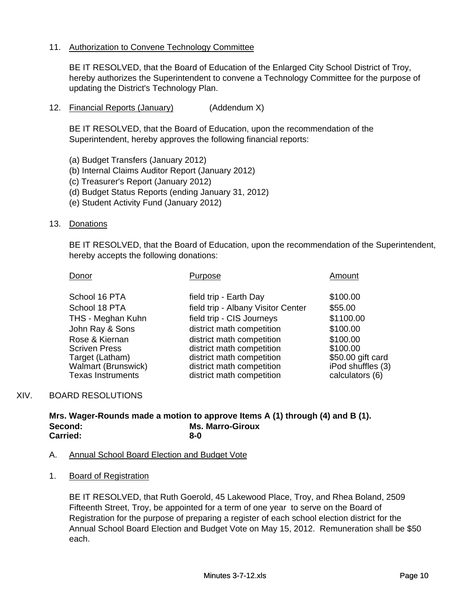### 11. Authorization to Convene Technology Committee

BE IT RESOLVED, that the Board of Education of the Enlarged City School District of Troy, hereby authorizes the Superintendent to convene a Technology Committee for the purpose of updating the District's Technology Plan.

12. Financial Reports (January) (Addendum X)

BE IT RESOLVED, that the Board of Education, upon the recommendation of the Superintendent, hereby approves the following financial reports:

- (a) Budget Transfers (January 2012)
- (b) Internal Claims Auditor Report (January 2012)
- (c) Treasurer's Report (January 2012)
- (d) Budget Status Reports (ending January 31, 2012)
- (e) Student Activity Fund (January 2012)

#### 13. Donations

BE IT RESOLVED, that the Board of Education, upon the recommendation of the Superintendent, hereby accepts the following donations:

| Donor                      | Purpose                            | Amount            |
|----------------------------|------------------------------------|-------------------|
| School 16 PTA              | field trip - Earth Day             | \$100.00          |
| School 18 PTA              | field trip - Albany Visitor Center | \$55.00           |
| THS - Meghan Kuhn          | field trip - CIS Journeys          | \$1100.00         |
| John Ray & Sons            | district math competition          | \$100.00          |
| Rose & Kiernan             | district math competition          | \$100.00          |
| <b>Scriven Press</b>       | district math competition          | \$100.00          |
| Target (Latham)            | district math competition          | \$50.00 gift card |
| <b>Walmart (Brunswick)</b> | district math competition          | iPod shuffles (3) |
| <b>Texas Instruments</b>   | district math competition          | calculators (6)   |

#### XIV. BOARD RESOLUTIONS

**8-0 Mrs. Wager-Rounds made a motion to approve Items A (1) through (4) and B (1). Second: Ms. Marro-Giroux Carried:**

#### A. Annual School Board Election and Budget Vote

1. Board of Registration

BE IT RESOLVED, that Ruth Goerold, 45 Lakewood Place, Troy, and Rhea Boland, 2509 Fifteenth Street, Troy, be appointed for a term of one year to serve on the Board of Registration for the purpose of preparing a register of each school election district for the Annual School Board Election and Budget Vote on May 15, 2012. Remuneration shall be \$50 each.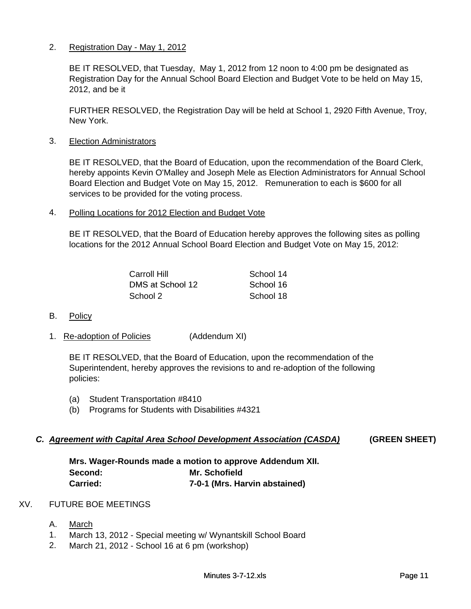#### 2. Registration Day - May 1, 2012

BE IT RESOLVED, that Tuesday, May 1, 2012 from 12 noon to 4:00 pm be designated as Registration Day for the Annual School Board Election and Budget Vote to be held on May 15, 2012, and be it

FURTHER RESOLVED, the Registration Day will be held at School 1, 2920 Fifth Avenue, Troy, New York.

3. Election Administrators

BE IT RESOLVED, that the Board of Education, upon the recommendation of the Board Clerk, hereby appoints Kevin O'Malley and Joseph Mele as Election Administrators for Annual School Board Election and Budget Vote on May 15, 2012. Remuneration to each is \$600 for all services to be provided for the voting process.

4. Polling Locations for 2012 Election and Budget Vote

BE IT RESOLVED, that the Board of Education hereby approves the following sites as polling locations for the 2012 Annual School Board Election and Budget Vote on May 15, 2012:

| Carroll Hill     | School 14 |
|------------------|-----------|
| DMS at School 12 | School 16 |
| School 2         | School 18 |

- B. Policy
- 1. Re-adoption of Policies (Addendum XI)

BE IT RESOLVED, that the Board of Education, upon the recommendation of the Superintendent, hereby approves the revisions to and re-adoption of the following policies:

- (a) Student Transportation #8410
- (b) Programs for Students with Disabilities #4321

#### *C. Agreement with Capital Area School Development Association (CASDA)* **(GREEN SHEET)**

**7-0-1 (Mrs. Harvin abstained) Mrs. Wager-Rounds made a motion to approve Addendum XII. Second: Mr. Schofield Carried:**

#### XV. FUTURE BOE MEETINGS

- A. March
- 1. March 13, 2012 Special meeting w/ Wynantskill School Board
- 2. March 21, 2012 School 16 at 6 pm (workshop)